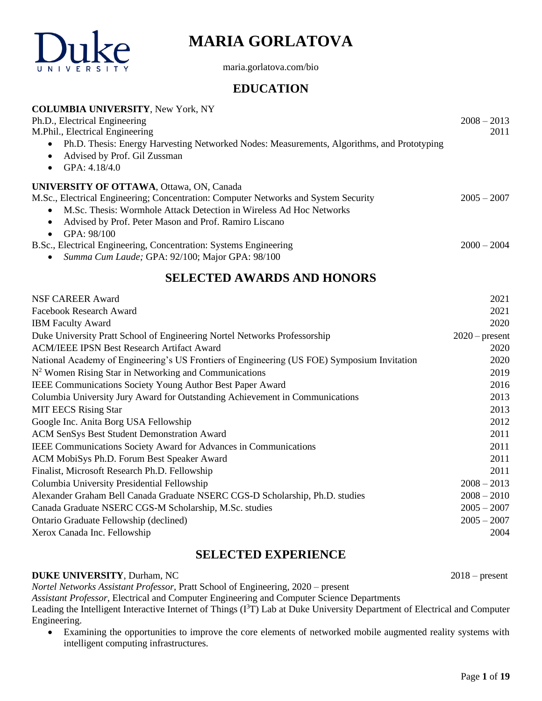

# **MARIA GORLATOVA**

maria.gorlatova.com/bio

# **EDUCATION**

| <b>COLUMBIA UNIVERSITY, New York, NY</b>                                                   |               |
|--------------------------------------------------------------------------------------------|---------------|
| Ph.D., Electrical Engineering                                                              | $2008 - 2013$ |
| M.Phil., Electrical Engineering                                                            | 2011          |
| Ph.D. Thesis: Energy Harvesting Networked Nodes: Measurements, Algorithms, and Prototyping |               |
| Advised by Prof. Gil Zussman<br>$\bullet$                                                  |               |
| GPA: $4.18/4.0$                                                                            |               |
| <b>UNIVERSITY OF OTTAWA, Ottawa, ON, Canada</b>                                            |               |
| M.Sc., Electrical Engineering; Concentration: Computer Networks and System Security        | $2005 - 2007$ |
| M.Sc. Thesis: Wormhole Attack Detection in Wireless Ad Hoc Networks                        |               |
| Advised by Prof. Peter Mason and Prof. Ramiro Liscano<br>$\bullet$                         |               |
| GPA: 98/100<br>$\bullet$                                                                   |               |
| B.Sc., Electrical Engineering, Concentration: Systems Engineering                          | $2000 - 2004$ |
| Summa Cum Laude; GPA: 92/100; Major GPA: 98/100                                            |               |

# **SELECTED AWARDS AND HONORS**

| NSF CAREER Award                                                                            | 2021             |
|---------------------------------------------------------------------------------------------|------------------|
| Facebook Research Award                                                                     | 2021             |
| <b>IBM</b> Faculty Award                                                                    | 2020             |
| Duke University Pratt School of Engineering Nortel Networks Professorship                   | $2020$ – present |
| <b>ACM/IEEE IPSN Best Research Artifact Award</b>                                           | 2020             |
| National Academy of Engineering's US Frontiers of Engineering (US FOE) Symposium Invitation | 2020             |
| $N2$ Women Rising Star in Networking and Communications                                     | 2019             |
| <b>IEEE Communications Society Young Author Best Paper Award</b>                            | 2016             |
| Columbia University Jury Award for Outstanding Achievement in Communications                | 2013             |
| <b>MIT EECS Rising Star</b>                                                                 | 2013             |
| Google Inc. Anita Borg USA Fellowship                                                       | 2012             |
| ACM SenSys Best Student Demonstration Award                                                 | 2011             |
| <b>IEEE Communications Society Award for Advances in Communications</b>                     | 2011             |
| ACM MobiSys Ph.D. Forum Best Speaker Award                                                  | 2011             |
| Finalist, Microsoft Research Ph.D. Fellowship                                               | 2011             |
| Columbia University Presidential Fellowship                                                 | $2008 - 2013$    |
| Alexander Graham Bell Canada Graduate NSERC CGS-D Scholarship, Ph.D. studies                | $2008 - 2010$    |
| Canada Graduate NSERC CGS-M Scholarship, M.Sc. studies                                      | $2005 - 2007$    |
| Ontario Graduate Fellowship (declined)                                                      | $2005 - 2007$    |
| Xerox Canada Inc. Fellowship                                                                | 2004             |
|                                                                                             |                  |

# **SELECTED EXPERIENCE**

### **DUKE UNIVERSITY**, Durham, NC2018 – present

*Nortel Networks Assistant Professor*, Pratt School of Engineering, 2020 – present

*Assistant Professor*, Electrical and Computer Engineering and Computer Science Departments

Leading the Intelligent Interactive Internet of Things (I<sup>3</sup>T) Lab at Duke University Department of Electrical and Computer Engineering.

• Examining the opportunities to improve the core elements of networked mobile augmented reality systems with intelligent computing infrastructures.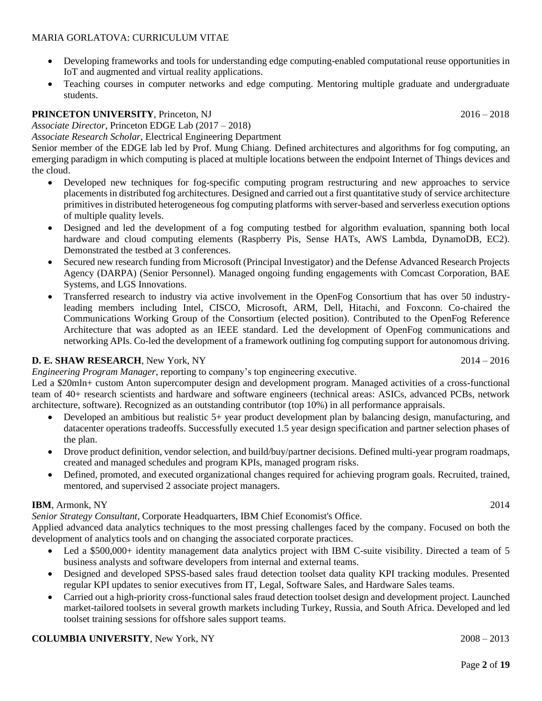- Developing frameworks and tools for understanding edge computing-enabled computational reuse opportunities in IoT and augmented and virtual reality applications.
- Teaching courses in computer networks and edge computing. Mentoring multiple graduate and undergraduate students.

### **PRINCETON UNIVERSITY**, Princeton, NJ2016 – 2018

*Associate Director*, Princeton EDGE Lab (2017 – 2018)

*Associate Research Scholar*, Electrical Engineering Department

Senior member of the EDGE lab led by Prof. Mung Chiang. Defined architectures and algorithms for fog computing, an emerging paradigm in which computing is placed at multiple locations between the endpoint Internet of Things devices and the cloud.

- Developed new techniques for fog-specific computing program restructuring and new approaches to service placements in distributed fog architectures. Designed and carried out a first quantitative study of service architecture primitives in distributed heterogeneous fog computing platforms with server-based and serverless execution options of multiple quality levels.
- Designed and led the development of a fog computing testbed for algorithm evaluation, spanning both local hardware and cloud computing elements (Raspberry Pis, Sense HATs, AWS Lambda, DynamoDB, EC2). Demonstrated the testbed at 3 conferences.
- Secured new research funding from Microsoft (Principal Investigator) and the Defense Advanced Research Projects Agency (DARPA) (Senior Personnel). Managed ongoing funding engagements with Comcast Corporation, BAE Systems, and LGS Innovations.
- Transferred research to industry via active involvement in the OpenFog Consortium that has over 50 industryleading members including Intel, CISCO, Microsoft, ARM, Dell, Hitachi, and Foxconn. Co-chaired the Communications Working Group of the Consortium (elected position). Contributed to the OpenFog Reference Architecture that was adopted as an IEEE standard. Led the development of OpenFog communications and networking APIs. Co-led the development of a framework outlining fog computing support for autonomous driving.

### **D. E. SHAW RESEARCH**, New York, NY 2014 – 2016

*Engineering Program Manager,* reporting to company's top engineering executive.

Led a \$20mln+ custom Anton supercomputer design and development program. Managed activities of a cross-functional team of 40+ research scientists and hardware and software engineers (technical areas: ASICs, advanced PCBs, network architecture, software). Recognized as an outstanding contributor (top 10%) in all performance appraisals.

- Developed an ambitious but realistic 5+ year product development plan by balancing design, manufacturing, and datacenter operations tradeoffs. Successfully executed 1.5 year design specification and partner selection phases of the plan.
- Drove product definition, vendor selection, and build/buy/partner decisions. Defined multi-year program roadmaps, created and managed schedules and program KPIs, managed program risks.
- Defined, promoted, and executed organizational changes required for achieving program goals. Recruited, trained, mentored, and supervised 2 associate project managers.

### **IBM**, Armonk, NY 2014

*Senior Strategy Consultant*, Corporate Headquarters, IBM Chief Economist's Office.

Applied advanced data analytics techniques to the most pressing challenges faced by the company. Focused on both the development of analytics tools and on changing the associated corporate practices.

- Led a \$500,000+ identity management data analytics project with IBM C-suite visibility. Directed a team of 5 business analysts and software developers from internal and external teams.
- Designed and developed SPSS-based sales fraud detection toolset data quality KPI tracking modules. Presented regular KPI updates to senior executives from IT, Legal, Software Sales, and Hardware Sales teams.
- Carried out a high-priority cross-functional sales fraud detection toolset design and development project. Launched market-tailored toolsets in several growth markets including Turkey, Russia, and South Africa. Developed and led toolset training sessions for offshore sales support teams.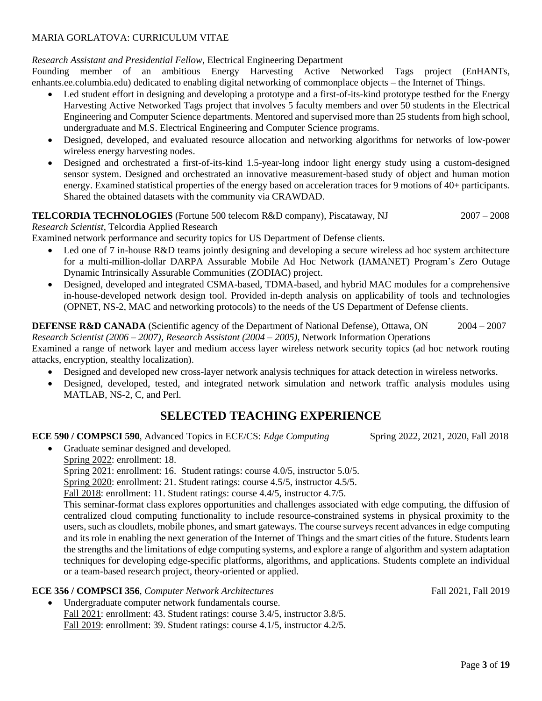### *Research Assistant and Presidential Fellow*, Electrical Engineering Department

Founding member of an ambitious Energy Harvesting Active Networked Tags project (EnHANTs, enhants.ee.columbia.edu) dedicated to enabling digital networking of commonplace objects – the Internet of Things.

- Led student effort in designing and developing a prototype and a first-of-its-kind prototype testbed for the Energy Harvesting Active Networked Tags project that involves 5 faculty members and over 50 students in the Electrical Engineering and Computer Science departments. Mentored and supervised more than 25 students from high school, undergraduate and M.S. Electrical Engineering and Computer Science programs.
- Designed, developed, and evaluated resource allocation and networking algorithms for networks of low-power wireless energy harvesting nodes.
- Designed and orchestrated a first-of-its-kind 1.5-year-long indoor light energy study using a custom-designed sensor system. Designed and orchestrated an innovative measurement-based study of object and human motion energy. Examined statistical properties of the energy based on acceleration traces for 9 motions of 40+ participants. Shared the obtained datasets with the community via CRAWDAD.

### **TELCORDIA TECHNOLOGIES** (Fortune 500 telecom R&D company), Piscataway, NJ 2007 – 2008

*Research Scientist*, Telcordia Applied Research

Examined network performance and security topics for US Department of Defense clients.

- Led one of 7 in-house R&D teams jointly designing and developing a secure wireless ad hoc system architecture for a multi-million-dollar DARPA Assurable Mobile Ad Hoc Network (IAMANET) Program's Zero Outage Dynamic Intrinsically Assurable Communities (ZODIAC) project.
- Designed, developed and integrated CSMA-based, TDMA-based, and hybrid MAC modules for a comprehensive in-house-developed network design tool. Provided in-depth analysis on applicability of tools and technologies (OPNET, NS-2, MAC and networking protocols) to the needs of the US Department of Defense clients.

#### **DEFENSE R&D CANADA** (Scientific agency of the Department of National Defense), Ottawa, ON 2004 – 2007 *Research Scientist (2006* – *2007), Research Assistant (2004* – *2005),* Network Information Operations

Examined a range of network layer and medium access layer wireless network security topics (ad hoc network routing attacks, encryption, stealthy localization).

- Designed and developed new cross-layer network analysis techniques for attack detection in wireless networks.
- Designed, developed, tested, and integrated network simulation and network traffic analysis modules using MATLAB, NS-2, C, and Perl.

# **SELECTED TEACHING EXPERIENCE**

#### **ECE 590 / COMPSCI 590**, Advanced Topics in ECE/CS: *Edge Computing* Spring 2022, 2021, 2020, Fall 2018

• Graduate seminar designed and developed. Spring 2022: enrollment: 18. Spring 2021: enrollment: 16. Student ratings: course 4.0/5, instructor 5.0/5. Spring 2020: enrollment: 21. Student ratings: course 4.5/5, instructor 4.5/5. Fall 2018: enrollment: 11. Student ratings: course 4.4/5, instructor 4.7/5. This seminar-format class explores opportunities and challenges associated with edge computing, the diffusion of centralized cloud computing functionality to include resource-constrained systems in physical proximity to the users, such as cloudlets, mobile phones, and smart gateways. The course surveys recent advances in edge computing and its role in enabling the next generation of the Internet of Things and the smart cities of the future. Students learn the strengths and the limitations of edge computing systems, and explore a range of algorithm and system adaptation techniques for developing edge-specific platforms, algorithms, and applications. Students complete an individual or a team-based research project, theory-oriented or applied.

### **ECE 356 / COMPSCI 356**, *Computer Network Architectures* Fall 2021, Fall 2019

Undergraduate computer network fundamentals course. Fall 2021: enrollment: 43. Student ratings: course 3.4/5, instructor 3.8/5. Fall 2019: enrollment: 39. Student ratings: course 4.1/5, instructor 4.2/5.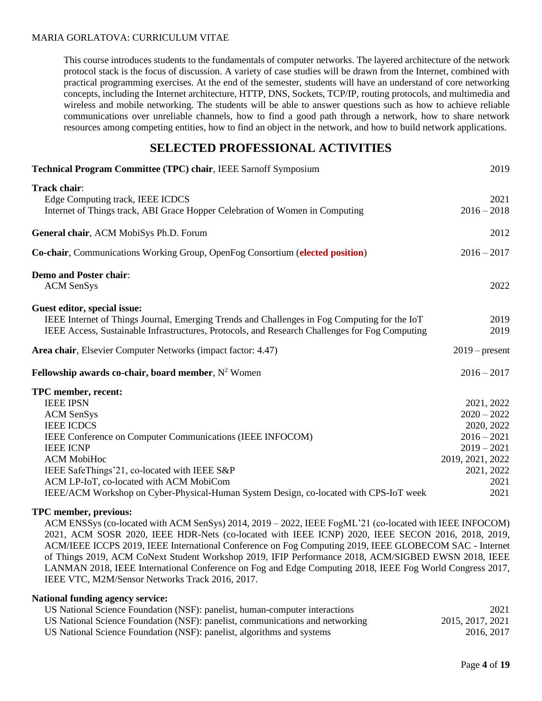This course introduces students to the fundamentals of computer networks. The layered architecture of the network protocol stack is the focus of discussion. A variety of case studies will be drawn from the Internet, combined with practical programming exercises. At the end of the semester, students will have an understand of core networking concepts, including the Internet architecture, HTTP, DNS, Sockets, TCP/IP, routing protocols, and multimedia and wireless and mobile networking. The students will be able to answer questions such as how to achieve reliable communications over unreliable channels, how to find a good path through a network, how to share network resources among competing entities, how to find an object in the network, and how to build network applications.

### **SELECTED PROFESSIONAL ACTIVITIES**

| Technical Program Committee (TPC) chair, IEEE Sarnoff Symposium                                                                                                                                                                                                                                                                                                              | 2019                                                                                                                          |
|------------------------------------------------------------------------------------------------------------------------------------------------------------------------------------------------------------------------------------------------------------------------------------------------------------------------------------------------------------------------------|-------------------------------------------------------------------------------------------------------------------------------|
| Track chair:<br>Edge Computing track, IEEE ICDCS<br>Internet of Things track, ABI Grace Hopper Celebration of Women in Computing                                                                                                                                                                                                                                             | 2021<br>$2016 - 2018$                                                                                                         |
| General chair, ACM MobiSys Ph.D. Forum                                                                                                                                                                                                                                                                                                                                       | 2012                                                                                                                          |
| Co-chair, Communications Working Group, OpenFog Consortium (elected position)                                                                                                                                                                                                                                                                                                | $2016 - 2017$                                                                                                                 |
| <b>Demo and Poster chair:</b><br><b>ACM</b> SenSys                                                                                                                                                                                                                                                                                                                           | 2022                                                                                                                          |
| Guest editor, special issue:<br>IEEE Internet of Things Journal, Emerging Trends and Challenges in Fog Computing for the IoT<br>IEEE Access, Sustainable Infrastructures, Protocols, and Research Challenges for Fog Computing                                                                                                                                               | 2019<br>2019                                                                                                                  |
| Area chair, Elsevier Computer Networks (impact factor: 4.47)                                                                                                                                                                                                                                                                                                                 | $2019$ – present                                                                                                              |
| Fellowship awards co-chair, board member, $N^2$ Women                                                                                                                                                                                                                                                                                                                        | $2016 - 2017$                                                                                                                 |
| TPC member, recent:<br><b>IEEE IPSN</b><br><b>ACM</b> SenSys<br><b>IEEE ICDCS</b><br>IEEE Conference on Computer Communications (IEEE INFOCOM)<br><b>IEEE ICNP</b><br><b>ACM MobiHoc</b><br>IEEE SafeThings'21, co-located with IEEE S&P<br>ACM LP-IoT, co-located with ACM MobiCom<br>IEEE/ACM Workshop on Cyber-Physical-Human System Design, co-located with CPS-IoT week | 2021, 2022<br>$2020 - 2022$<br>2020, 2022<br>$2016 - 2021$<br>$2019 - 2021$<br>2019, 2021, 2022<br>2021, 2022<br>2021<br>2021 |

#### **TPC member, previous:**

ACM ENSSys (co-located with ACM SenSys) 2014, 2019 – 2022, IEEE FogML'21 (co-located with IEEE INFOCOM) 2021, ACM SOSR 2020, IEEE HDR-Nets (co-located with IEEE ICNP) 2020, IEEE SECON 2016, 2018, 2019, ACM/IEEE ICCPS 2019, IEEE International Conference on Fog Computing 2019, IEEE GLOBECOM SAC - Internet of Things 2019, ACM CoNext Student Workshop 2019, IFIP Performance 2018, ACM/SIGBED EWSN 2018, IEEE LANMAN 2018, IEEE International Conference on Fog and Edge Computing 2018, IEEE Fog World Congress 2017, IEEE VTC, M2M/Sensor Networks Track 2016, 2017.

#### **National funding agency service:**

| US National Science Foundation (NSF): panelist, human-computer interactions   | 2021             |
|-------------------------------------------------------------------------------|------------------|
| US National Science Foundation (NSF): panelist, communications and networking | 2015, 2017, 2021 |
| US National Science Foundation (NSF): panelist, algorithms and systems        | 2016, 2017       |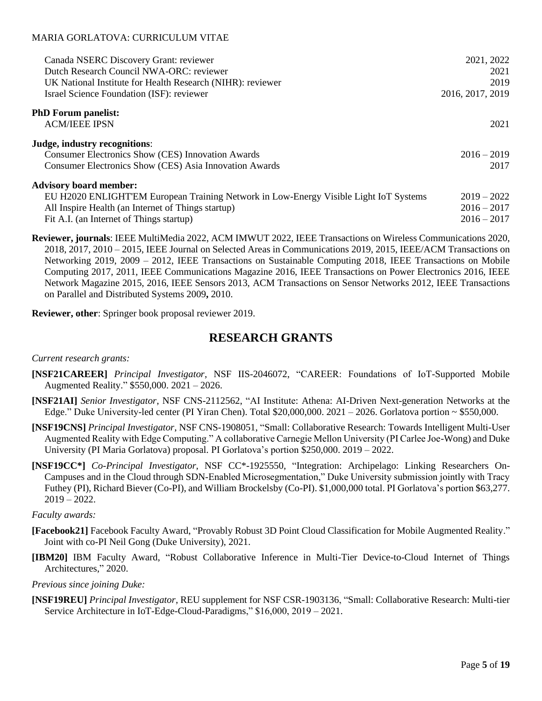| Canada NSERC Discovery Grant: reviewer<br>Dutch Research Council NWA-ORC: reviewer<br>UK National Institute for Health Research (NIHR): reviewer<br>Israel Science Foundation (ISF): reviewer | 2021, 2022<br>2021<br>2019<br>2016, 2017, 2019 |
|-----------------------------------------------------------------------------------------------------------------------------------------------------------------------------------------------|------------------------------------------------|
| <b>PhD Forum panelist:</b>                                                                                                                                                                    |                                                |
| <b>ACM/IEEE IPSN</b>                                                                                                                                                                          | 2021                                           |
| Judge, industry recognitions:                                                                                                                                                                 |                                                |
| <b>Consumer Electronics Show (CES) Innovation Awards</b>                                                                                                                                      | $2016 - 2019$                                  |
| <b>Consumer Electronics Show (CES) Asia Innovation Awards</b>                                                                                                                                 | 2017                                           |
| <b>Advisory board member:</b>                                                                                                                                                                 |                                                |
| EU H2020 ENLIGHT'EM European Training Network in Low-Energy Visible Light IoT Systems                                                                                                         | $2019 - 2022$                                  |
| All Inspire Health (an Internet of Things startup)                                                                                                                                            | $2016 - 2017$                                  |
| Fit A.I. (an Internet of Things startup)                                                                                                                                                      | $2016 - 2017$                                  |

**Reviewer, journals**: IEEE MultiMedia 2022, ACM IMWUT 2022, IEEE Transactions on Wireless Communications 2020, 2018, 2017, 2010 – 2015, IEEE Journal on Selected Areas in Communications 2019, 2015, IEEE/ACM Transactions on Networking 2019, 2009 – 2012, IEEE Transactions on Sustainable Computing 2018, IEEE Transactions on Mobile Computing 2017, 2011, IEEE Communications Magazine 2016, IEEE Transactions on Power Electronics 2016, IEEE Network Magazine 2015, 2016, IEEE Sensors 2013, ACM Transactions on Sensor Networks 2012, IEEE Transactions on Parallel and Distributed Systems 2009**,** 2010.

**Reviewer, other**: Springer book proposal reviewer 2019.

# **RESEARCH GRANTS**

#### *Current research grants:*

- **[NSF21CAREER]** *Principal Investigator*, NSF IIS-2046072, "CAREER: Foundations of IoT-Supported Mobile Augmented Reality." \$550,000. 2021 – 2026.
- **[NSF21AI]** *Senior Investigator*, NSF CNS-2112562, "AI Institute: Athena: AI-Driven Next-generation Networks at the Edge." Duke University-led center (PI Yiran Chen). Total \$20,000,000.  $2021 - 2026$ . Gorlatova portion ~ \$550,000.
- **[NSF19CNS]** *Principal Investigator*, NSF CNS-1908051, "Small: Collaborative Research: Towards Intelligent Multi-User Augmented Reality with Edge Computing." A collaborative Carnegie Mellon University (PI Carlee Joe-Wong) and Duke University (PI Maria Gorlatova) proposal. PI Gorlatova's portion \$250,000. 2019 – 2022.
- **[NSF19CC\*]** *Co-Principal Investigator*, NSF CC\*-1925550, "Integration: Archipelago: Linking Researchers On-Campuses and in the Cloud through SDN-Enabled Microsegmentation," Duke University submission jointly with Tracy Futhey (PI), Richard Biever (Co-PI), and William Brockelsby (Co-PI). \$1,000,000 total. PI Gorlatova's portion \$63,277.  $2019 - 2022$ .

#### *Faculty awards:*

- **[Facebook21]** Facebook Faculty Award, "Provably Robust 3D Point Cloud Classification for Mobile Augmented Reality." Joint with co-PI Neil Gong (Duke University), 2021.
- **[IBM20]** IBM Faculty Award, "Robust Collaborative Inference in Multi-Tier Device-to-Cloud Internet of Things Architectures," 2020.

#### *Previous since joining Duke:*

**[NSF19REU]** *Principal Investigator*, REU supplement for NSF CSR-1903136, "Small: Collaborative Research: Multi-tier Service Architecture in IoT-Edge-Cloud-Paradigms," \$16,000, 2019 – 2021.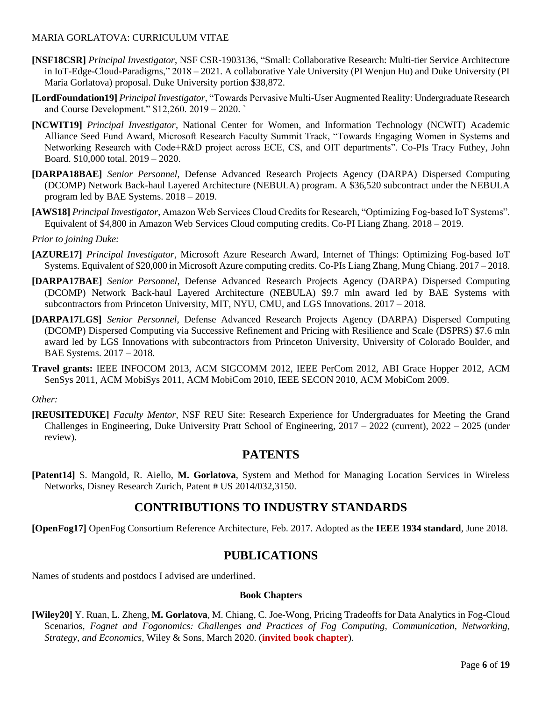- **[NSF18CSR]** *Principal Investigator*, NSF CSR-1903136, "Small: Collaborative Research: Multi-tier Service Architecture in IoT-Edge-Cloud-Paradigms," 2018 – 2021. A collaborative Yale University (PI Wenjun Hu) and Duke University (PI Maria Gorlatova) proposal. Duke University portion \$38,872.
- **[LordFoundation19]** *Principal Investigator*, "Towards Pervasive Multi-User Augmented Reality: Undergraduate Research and Course Development." \$12,260. 2019 – 2020. `
- **[NCWIT19]** *Principal Investigator*, National Center for Women, and Information Technology (NCWIT) Academic Alliance Seed Fund Award, Microsoft Research Faculty Summit Track, "Towards Engaging Women in Systems and Networking Research with Code+R&D project across ECE, CS, and OIT departments". Co-PIs Tracy Futhey, John Board. \$10,000 total. 2019 – 2020.
- **[DARPA18BAE]** *Senior Personnel*, Defense Advanced Research Projects Agency (DARPA) Dispersed Computing (DCOMP) Network Back-haul Layered Architecture (NEBULA) program. A \$36,520 subcontract under the NEBULA program led by BAE Systems. 2018 – 2019.
- **[AWS18]** *Principal Investigator*, Amazon Web Services Cloud Credits for Research, "Optimizing Fog-based IoT Systems". Equivalent of \$4,800 in Amazon Web Services Cloud computing credits. Co-PI Liang Zhang. 2018 – 2019.

### *Prior to joining Duke:*

- **[AZURE17]** *Principal Investigator*, Microsoft Azure Research Award, Internet of Things: Optimizing Fog-based IoT Systems. Equivalent of \$20,000 in Microsoft Azure computing credits. Co-PIs Liang Zhang, Mung Chiang. 2017 – 2018.
- **[DARPA17BAE]** *Senior Personnel*, Defense Advanced Research Projects Agency (DARPA) Dispersed Computing (DCOMP) Network Back-haul Layered Architecture (NEBULA) \$9.7 mln award led by BAE Systems with subcontractors from Princeton University, MIT, NYU, CMU, and LGS Innovations. 2017 – 2018.
- **[DARPA17LGS]** *Senior Personnel*, Defense Advanced Research Projects Agency (DARPA) Dispersed Computing (DCOMP) Dispersed Computing via Successive Refinement and Pricing with Resilience and Scale (DSPRS) \$7.6 mln award led by LGS Innovations with subcontractors from Princeton University, University of Colorado Boulder, and BAE Systems. 2017 – 2018.
- **Travel grants:** IEEE INFOCOM 2013, ACM SIGCOMM 2012, IEEE PerCom 2012, ABI Grace Hopper 2012, ACM SenSys 2011, ACM MobiSys 2011, ACM MobiCom 2010, IEEE SECON 2010, ACM MobiCom 2009.

#### *Other:*

**[REUSITEDUKE]** *Faculty Mentor*, NSF REU Site: Research Experience for Undergraduates for Meeting the Grand Challenges in Engineering, Duke University Pratt School of Engineering, 2017 – 2022 (current), 2022 – 2025 (under review).

# **PATENTS**

**[Patent14]** S. Mangold, R. Aiello, **M. Gorlatova**, System and Method for Managing Location Services in Wireless Networks, Disney Research Zurich, Patent # US 2014/032,3150.

### **CONTRIBUTIONS TO INDUSTRY STANDARDS**

**[OpenFog17]** OpenFog Consortium Reference Architecture, Feb. 2017. Adopted as the **IEEE 1934 standard**, June 2018.

# **PUBLICATIONS**

Names of students and postdocs I advised are underlined.

#### **Book Chapters**

**[Wiley20]** Y. Ruan, L. Zheng, **M. Gorlatova**, M. Chiang, C. Joe-Wong, Pricing Tradeoffs for Data Analytics in Fog-Cloud Scenarios, *Fognet and Fogonomics: Challenges and Practices of Fog Computing, Communication, Networking, Strategy, and Economics,* Wiley & Sons, March 2020. (**invited book chapter**).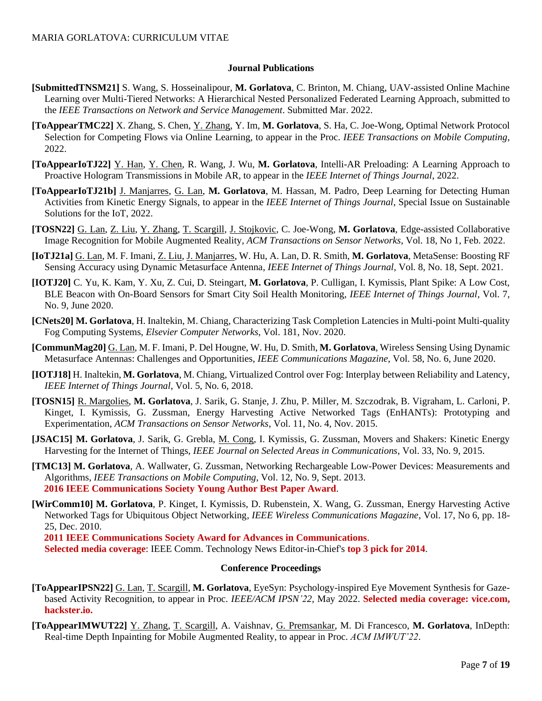#### **Journal Publications**

- **[SubmittedTNSM21]** S. Wang, S. Hosseinalipour, **M. Gorlatova**, C. Brinton, M. Chiang, UAV-assisted Online Machine Learning over Multi-Tiered Networks: A Hierarchical Nested Personalized Federated Learning Approach, submitted to the *IEEE Transactions on Network and Service Management*. Submitted Mar. 2022.
- **[ToAppearTMC22]** X. Zhang, S. Chen, Y. Zhang, Y. Im, **M. Gorlatova**, S. Ha, C. Joe-Wong, Optimal Network Protocol Selection for Competing Flows via Online Learning, to appear in the Proc. *IEEE Transactions on Mobile Computing*, 2022.
- **[ToAppearIoTJ22]** Y. Han, Y. Chen, R. Wang, J. Wu, **M. Gorlatova**, Intelli-AR Preloading: A Learning Approach to Proactive Hologram Transmissions in Mobile AR, to appear in the *IEEE Internet of Things Journal*, 2022.
- **[ToAppearIoTJ21b]** J. Manjarres, G. Lan, **M. Gorlatova**, M. Hassan, M. Padro, Deep Learning for Detecting Human Activities from Kinetic Energy Signals, to appear in the *IEEE Internet of Things Journal*, Special Issue on Sustainable Solutions for the IoT, 2022.
- **[TOSN22]** G. Lan, Z. Liu, Y. Zhang, T. Scargill, J. Stojkovic, C. Joe-Wong, **M. Gorlatova**, Edge-assisted Collaborative Image Recognition for Mobile Augmented Reality, *ACM Transactions on Sensor Networks*, Vol. 18, No 1, Feb. 2022.
- **[IoTJ21a]** G. Lan, M. F. Imani, Z. Liu, J. Manjarres, W. Hu, A. Lan, D. R. Smith, **M. Gorlatova**, MetaSense: Boosting RF Sensing Accuracy using Dynamic Metasurface Antenna, *IEEE Internet of Things Journal*, Vol. 8, No. 18, Sept. 2021.
- **[IOTJ20]** C. Yu, K. Kam, Y. Xu, Z. Cui, D. Steingart, **M. Gorlatova**, P. Culligan, I. Kymissis, Plant Spike: A Low Cost, BLE Beacon with On-Board Sensors for Smart City Soil Health Monitoring, *IEEE Internet of Things Journal*, Vol. 7, No. 9, June 2020.
- **[CNets20] M. Gorlatova**, H. Inaltekin, M. Chiang, Characterizing Task Completion Latencies in Multi-point Multi-quality Fog Computing Systems, *Elsevier Computer Networks*, Vol. 181, Nov. 2020.
- **[CommunMag20]** G. Lan, M. F. Imani, P. Del Hougne, W. Hu, D. Smith, **M. Gorlatova**, Wireless Sensing Using Dynamic Metasurface Antennas: Challenges and Opportunities, *IEEE Communications Magazine*, Vol. 58, No. 6, June 2020.
- **[IOTJ18]** H. Inaltekin, **M. Gorlatova**, M. Chiang, Virtualized Control over Fog: Interplay between Reliability and Latency, *IEEE Internet of Things Journal*, Vol. 5, No. 6, 2018.
- **[TOSN15]** R. Margolies, **M. Gorlatova**, J. Sarik, G. Stanje, J. Zhu, P. Miller, M. Szczodrak, B. Vigraham, L. Carloni, P. Kinget, I. Kymissis, G. Zussman, Energy Harvesting Active Networked Tags (EnHANTs): Prototyping and Experimentation, *ACM Transactions on Sensor Networks*, Vol. 11, No. 4, Nov. 2015.
- **[JSAC15] M. Gorlatova**, J. Sarik, G. Grebla, M. Cong, I. Kymissis, G. Zussman, Movers and Shakers: Kinetic Energy Harvesting for the Internet of Things, *IEEE Journal on Selected Areas in Communications*, Vol. 33, No. 9, 2015.
- **[TMC13] M. Gorlatova***,* A. Wallwater, G. Zussman, Networking Rechargeable Low-Power Devices: Measurements and Algorithms, *IEEE Transactions on Mobile Computing*, Vol. 12, No. 9, Sept. 2013.  **2016 IEEE Communications Society Young Author Best Paper Award**.
- **[WirComm10] M. Gorlatova**, P. Kinget, I. Kymissis, D. Rubenstein, X. Wang, G. Zussman, Energy Harvesting Active Networked Tags for Ubiquitous Object Networking*, IEEE Wireless Communications Magazine*, Vol. 17, No 6, pp. 18- 25, Dec. 2010.

 **2011 IEEE Communications Society Award for Advances in Communications**.

**Selected media coverage**: IEEE Comm. Technology News Editor-in-Chief's **top 3 pick for 2014**.

#### **Conference Proceedings**

- **[ToAppearIPSN22]** G. Lan, T. Scargill, **M. Gorlatova**, EyeSyn: Psychology-inspired Eye Movement Synthesis for Gazebased Activity Recognition, to appear in Proc. *IEEE/ACM IPSN'22*, May 2022. **Selected media coverage: vice.com, hackster.io.**
- **[ToAppearIMWUT22]** Y. Zhang, T. Scargill, A. Vaishnav, G. Premsankar, M. Di Francesco, **M. Gorlatova**, InDepth: Real-time Depth Inpainting for Mobile Augmented Reality, to appear in Proc. *ACM IMWUT'22*.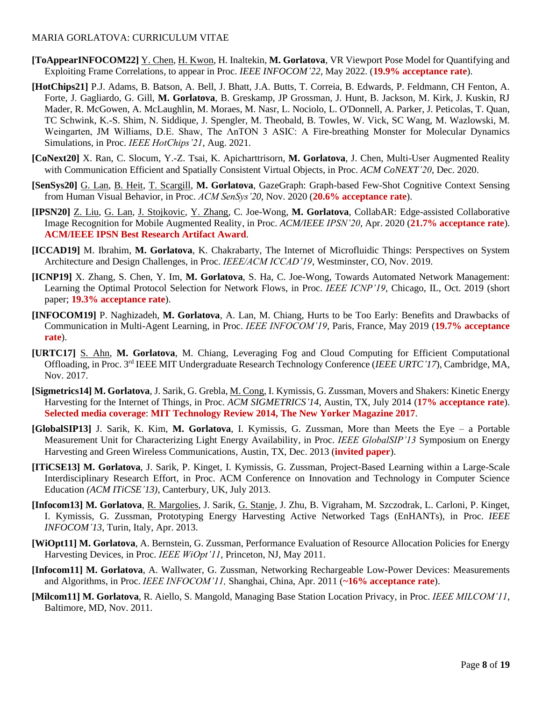- **[ToAppearINFOCOM22]** Y. Chen, H. Kwon, H. Inaltekin, **M. Gorlatova**, VR Viewport Pose Model for Quantifying and Exploiting Frame Correlations, to appear in Proc. *IEEE INFOCOM'22*, May 2022. (**19.9% acceptance rate**).
- **[HotChips21]** P.J. Adams, B. Batson, A. Bell, J. Bhatt, J.A. Butts, T. Correia, B. Edwards, P. Feldmann, CH Fenton, A. Forte, J. Gagliardo, G. Gill, **M. Gorlatova**, B. Greskamp, JP Grossman, J. Hunt, B. Jackson, M. Kirk, J. Kuskin, RJ Mader, R. McGowen, A. McLaughlin, M. Moraes, M. Nasr, L. Nociolo, L. O'Donnell, A. Parker, J. Peticolas, T. Quan, TC Schwink, K.-S. Shim, N. Siddique, J. Spengler, M. Theobald, B. Towles, W. Vick, SC Wang, M. Wazlowski, M. Weingarten, JM Williams, D.E. Shaw, The ΛnTON 3 ASIC: A Fire-breathing Monster for Molecular Dynamics Simulations, in Proc. *IEEE HotChips'21*, Aug. 2021.
- **[CoNext20]** X. Ran, C. Slocum, Y.-Z. Tsai, K. Apicharttrisorn, **M. Gorlatova**, J. Chen, Multi-User Augmented Reality with Communication Efficient and Spatially Consistent Virtual Objects, in Proc. *ACM CoNEXT'20*, Dec. 2020.
- **[SenSys20]** G. Lan, B. Heit, T. Scargill, **M. Gorlatova**, GazeGraph: Graph-based Few-Shot Cognitive Context Sensing from Human Visual Behavior, in Proc. *ACM SenSys'20*, Nov. 2020 (**20.6% acceptance rate**).
- **[IPSN20]** Z. Liu, G. Lan, J. Stojkovic, Y. Zhang, C. Joe-Wong, **M. Gorlatova**, CollabAR: Edge-assisted Collaborative Image Recognition for Mobile Augmented Reality, in Proc. *ACM/IEEE IPSN'20*, Apr. 2020 (**21.7% acceptance rate**). **ACM/IEEE IPSN Best Research Artifact Award**.
- **[ICCAD19]** M. Ibrahim, **M. Gorlatova**, K. Chakrabarty, The Internet of Microfluidic Things: Perspectives on System Architecture and Design Challenges, in Proc. *IEEE/ACM ICCAD'19*, Westminster, CO, Nov. 2019.
- **[ICNP19]** X. Zhang, S. Chen, Y. Im, **M. Gorlatova**, S. Ha, C. Joe-Wong, Towards Automated Network Management: Learning the Optimal Protocol Selection for Network Flows, in Proc. *IEEE ICNP'19*, Chicago, IL, Oct. 2019 (short paper; **19.3% acceptance rate**).
- **[INFOCOM19]** P. Naghizadeh, **M. Gorlatova**, A. Lan, M. Chiang, Hurts to be Too Early: Benefits and Drawbacks of Communication in Multi-Agent Learning, in Proc. *IEEE INFOCOM'19*, Paris, France, May 2019 (**19.7% acceptance rate**).
- **[URTC17]** S. Ahn, **M. Gorlatova**, M. Chiang, Leveraging Fog and Cloud Computing for Efficient Computational Offloading, in Proc. 3rd IEEE MIT Undergraduate Research Technology Conference (*IEEE URTC'17*), Cambridge, MA, Nov. 2017.
- **[Sigmetrics14] M. Gorlatova**, J. Sarik, G. Grebla, M. Cong, I. Kymissis, G. Zussman, Movers and Shakers: Kinetic Energy Harvesting for the Internet of Things, in Proc. *ACM SIGMETRICS'14*, Austin, TX, July 2014 (**17% acceptance rate**). **Selected media coverage**: **MIT Technology Review 2014, The New Yorker Magazine 2017**.
- **[GlobalSIP13]** J. Sarik, K. Kim, **M. Gorlatova**, I. Kymissis, G. Zussman, More than Meets the Eye a Portable Measurement Unit for Characterizing Light Energy Availability, in Proc. *IEEE GlobalSIP'13* Symposium on Energy Harvesting and Green Wireless Communications, Austin, TX, Dec. 2013 (**invited paper**).
- **[ITiCSE13] M. Gorlatova**, J. Sarik, P. Kinget, I. Kymissis, G. Zussman, Project-Based Learning within a Large-Scale Interdisciplinary Research Effort, in Proc. ACM Conference on Innovation and Technology in Computer Science Education *(ACM ITiCSE'13)*, Canterbury, UK, July 2013.
- **[Infocom13] M. Gorlatova**, R. Margolies, J. Sarik, G. Stanje, J. Zhu, B. Vigraham, M. Szczodrak, L. Carloni, P. Kinget, I. Kymissis, G. Zussman, Prototyping Energy Harvesting Active Networked Tags (EnHANTs), in Proc. *IEEE INFOCOM'13*, Turin, Italy, Apr. 2013.
- **[WiOpt11] M. Gorlatova**, A. Bernstein, G. Zussman, Performance Evaluation of Resource Allocation Policies for Energy Harvesting Devices, in Proc. *IEEE WiOpt'11*, Princeton, NJ, May 2011.
- **[Infocom11] M. Gorlatova***,* A. Wallwater, G. Zussman, Networking Rechargeable Low-Power Devices: Measurements and Algorithms, in Proc. *IEEE INFOCOM'11,* Shanghai, China, Apr. 2011 (**~16% acceptance rate**).
- **[Milcom11] M. Gorlatova**, R. Aiello, S. Mangold, Managing Base Station Location Privacy, in Proc. *IEEE MILCOM'11*, Baltimore, MD, Nov. 2011.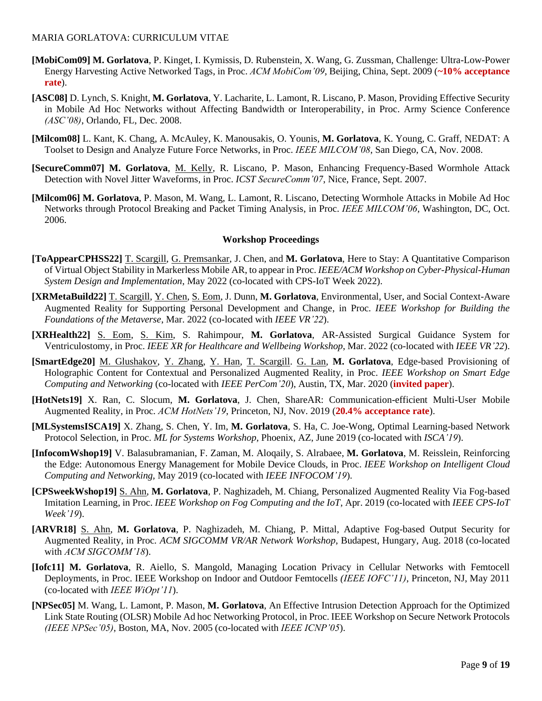- **[MobiCom09] M. Gorlatova**, P. Kinget, I. Kymissis, D. Rubenstein, X. Wang, G. Zussman, Challenge: Ultra-Low-Power Energy Harvesting Active Networked Tags, in Proc. *ACM MobiCom'09*, Beijing, China, Sept. 2009 (**~10% acceptance rate**).
- **[ASC08]** D. Lynch, S. Knight, **M. Gorlatova**, Y. Lacharite, L. Lamont, R. Liscano, P. Mason, Providing Effective Security in Mobile Ad Hoc Networks without Affecting Bandwidth or Interoperability, in Proc. Army Science Conference *(ASC'08)*, Orlando, FL, Dec. 2008.
- **[Milcom08]** L. Kant, K. Chang, A. McAuley, K. Manousakis, O. Younis, **M. Gorlatova**, K. Young, C. Graff, NEDAT: A Toolset to Design and Analyze Future Force Networks, in Proc. *IEEE MILCOM'08*, San Diego, CA, Nov. 2008.
- **[SecureComm07] M. Gorlatova**, M. Kelly, R. Liscano, P. Mason, Enhancing Frequency-Based Wormhole Attack Detection with Novel Jitter Waveforms, in Proc. *ICST SecureComm'07*, Nice, France, Sept. 2007.
- **[Milcom06] M. Gorlatova**, P. Mason, M. Wang, L. Lamont, R. Liscano, Detecting Wormhole Attacks in Mobile Ad Hoc Networks through Protocol Breaking and Packet Timing Analysis, in Proc. *IEEE MILCOM'06*, Washington, DC, Oct. 2006.

#### **Workshop Proceedings**

- **[ToAppearCPHSS22]** T. Scargill, G. Premsankar, J. Chen, and **M. Gorlatova**, Here to Stay: A Quantitative Comparison of Virtual Object Stability in Markerless Mobile AR, to appear in Proc. *IEEE/ACM Workshop on Cyber-Physical-Human System Design and Implementation*, May 2022 (co-located with CPS-IoT Week 2022).
- **[XRMetaBuild22]** T. Scargill, Y. Chen, S. Eom, J. Dunn, **M. Gorlatova**, Environmental, User, and Social Context-Aware Augmented Reality for Supporting Personal Development and Change, in Proc. *IEEE Workshop for Building the Foundations of the Metaverse*, Mar. 2022 (co-located with *IEEE VR'22*).
- **[XRHealth22]** S. Eom, S. Kim, S. Rahimpour, **M. Gorlatova**, AR-Assisted Surgical Guidance System for Ventriculostomy, in Proc. *IEEE XR for Healthcare and Wellbeing Workshop*, Mar. 2022 (co-located with *IEEE VR'22*).
- **[SmartEdge20]** M. Glushakov, Y. Zhang, Y. Han, T. Scargill. G. Lan, **M. Gorlatova**, Edge-based Provisioning of Holographic Content for Contextual and Personalized Augmented Reality, in Proc. *IEEE Workshop on Smart Edge Computing and Networking* (co-located with *IEEE PerCom'20*), Austin, TX, Mar. 2020 (**invited paper**).
- **[HotNets19]** X. Ran, C. Slocum, **M. Gorlatova**, J. Chen, ShareAR: Communication-efficient Multi-User Mobile Augmented Reality, in Proc. *ACM HotNets'19*, Princeton, NJ, Nov. 2019 (**20.4% acceptance rate**).
- **[MLSystemsISCA19]** X. Zhang, S. Chen, Y. Im, **M. Gorlatova**, S. Ha, C. Joe-Wong, Optimal Learning-based Network Protocol Selection, in Proc. *ML for Systems Workshop*, Phoenix, AZ, June 2019 (co-located with *ISCA'19*).
- **[InfocomWshop19]** V. Balasubramanian, F. Zaman, M. Aloqaily, S. Alrabaee, **M. Gorlatova**, M. Reisslein, Reinforcing the Edge: Autonomous Energy Management for Mobile Device Clouds, in Proc. *IEEE Workshop on Intelligent Cloud Computing and Networking,* May 2019 (co-located with *IEEE INFOCOM'19*).
- **[CPSweekWshop19]** S. Ahn, **M. Gorlatova**, P. Naghizadeh, M. Chiang, Personalized Augmented Reality Via Fog-based Imitation Learning, in Proc. *IEEE Workshop on Fog Computing and the IoT*, Apr. 2019 (co-located with *IEEE CPS-IoT Week'19*).
- **[ARVR18]** S. Ahn, **M. Gorlatova**, P. Naghizadeh, M. Chiang, P. Mittal, Adaptive Fog-based Output Security for Augmented Reality, in Proc*. ACM SIGCOMM VR/AR Network Workshop*, Budapest, Hungary, Aug. 2018 (co-located with *ACM SIGCOMM'18*).
- **[Iofc11] M. Gorlatova**, R. Aiello, S. Mangold, Managing Location Privacy in Cellular Networks with Femtocell Deployments, in Proc. IEEE Workshop on Indoor and Outdoor Femtocells *(IEEE IOFC'11)*, Princeton, NJ, May 2011 (co-located with *IEEE WiOpt'11*).
- **[NPSec05]** M. Wang, L. Lamont, P. Mason, **M. Gorlatova**, An Effective Intrusion Detection Approach for the Optimized Link State Routing (OLSR) Mobile Ad hoc Networking Protocol, in Proc. IEEE Workshop on Secure Network Protocols *(IEEE NPSec'05)*, Boston, MA, Nov. 2005 (co-located with *IEEE ICNP'05*).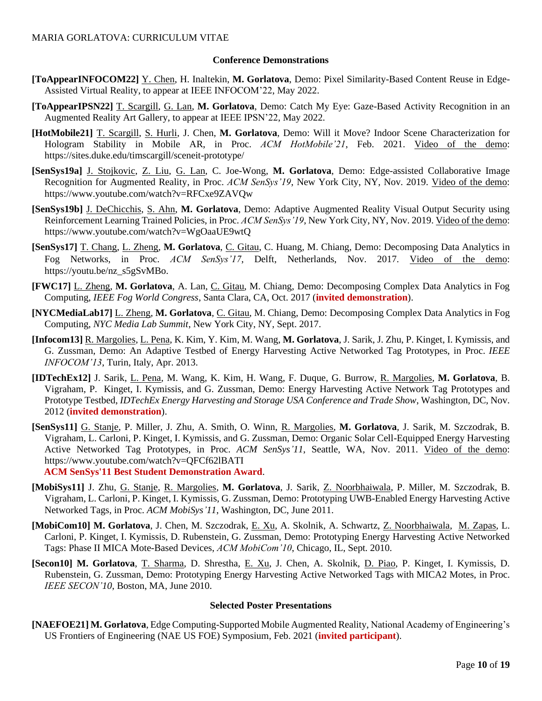#### **Conference Demonstrations**

- **[ToAppearINFOCOM22]** Y. Chen, H. Inaltekin, **M. Gorlatova**, Demo: Pixel Similarity-Based Content Reuse in Edge-Assisted Virtual Reality, to appear at IEEE INFOCOM'22, May 2022.
- **[ToAppearIPSN22]** T. Scargill, G. Lan, **M. Gorlatova**, Demo: Catch My Eye: Gaze-Based Activity Recognition in an Augmented Reality Art Gallery, to appear at IEEE IPSN'22, May 2022.
- **[HotMobile21]** T. Scargill, S. Hurli, J. Chen, **M. Gorlatova**, Demo: Will it Move? Indoor Scene Characterization for Hologram Stability in Mobile AR, in Proc. *ACM HotMobile'21*, Feb. 2021. Video of the demo: https://sites.duke.edu/timscargill/sceneit-prototype/
- **[SenSys19a]** J. Stojkovic, Z. Liu, G. Lan, C. Joe-Wong, **M. Gorlatova**, Demo: Edge-assisted Collaborative Image Recognition for Augmented Reality, in Proc. *ACM SenSys'19*, New York City, NY, Nov. 2019. Video of the demo: https://www.youtube.com/watch?v=RFCxe9ZAVQw
- **[SenSys19b]** J. DeChicchis, S. Ahn, **M. Gorlatova**, Demo: Adaptive Augmented Reality Visual Output Security using Reinforcement Learning Trained Policies, in Proc. *ACM SenSys'19*, New York City, NY, Nov. 2019. Video of the demo: https://www.youtube.com/watch?v=WgOaaUE9wtQ
- **[SenSys17]** T. Chang, L. Zheng, **M. Gorlatova**, C. Gitau, C. Huang, M. Chiang, Demo: Decomposing Data Analytics in Fog Networks, in Proc. *ACM SenSys'17*, Delft, Netherlands, Nov. 2017. Video of the demo: https://youtu.be/nz\_s5gSvMBo.
- **[FWC17]** L. Zheng, **M. Gorlatova**, A. Lan, C. Gitau, M. Chiang, Demo: Decomposing Complex Data Analytics in Fog Computing, *IEEE Fog World Congress*, Santa Clara, CA, Oct. 2017 (**invited demonstration**).
- **[NYCMediaLab17]** L. Zheng, **M. Gorlatova**, C. Gitau, M. Chiang, Demo: Decomposing Complex Data Analytics in Fog Computing, *NYC Media Lab Summit*, New York City, NY, Sept. 2017.
- **[Infocom13]** R. Margolies, L. Pena, K. Kim, Y. Kim, M. Wang, **M. Gorlatova**, J. Sarik, J. Zhu, P. Kinget, I. Kymissis, and G. Zussman, Demo: An Adaptive Testbed of Energy Harvesting Active Networked Tag Prototypes, in Proc. *IEEE INFOCOM'13*, Turin, Italy, Apr. 2013.
- **[IDTechEx12]** J. Sarik, L. Pena, M. Wang, K. Kim, H. Wang, F. Duque, G. Burrow, R. Margolies, **M. Gorlatova**, B. Vigraham, P. Kinget, I. Kymissis, and G. Zussman, Demo: Energy Harvesting Active Network Tag Prototypes and Prototype Testbed, *IDTechEx Energy Harvesting and Storage USA Conference and Trade Show*, Washington, DC, Nov. 2012 (**invited demonstration**).
- **[SenSys11]** G. Stanje, P. Miller, J. Zhu, A. Smith, O. Winn, R. Margolies, **M. Gorlatova**, J. Sarik, M. Szczodrak, B. Vigraham, L. Carloni, P. Kinget, I. Kymissis, and G. Zussman, Demo: Organic Solar Cell-Equipped Energy Harvesting Active Networked Tag Prototypes, in Proc. *ACM SenSys'11*, Seattle, WA, Nov. 2011. Video of the demo: https://www.youtube.com/watch?v=QFCf62lBATI
	- **ACM SenSys'11 Best Student Demonstration Award**.
- **[MobiSys11]** J. Zhu, G. Stanje, R. Margolies, **M. Gorlatova**, J. Sarik, Z. Noorbhaiwala, P. Miller, M. Szczodrak, B. Vigraham, L. Carloni, P. Kinget, I. Kymissis, G. Zussman, Demo: Prototyping UWB-Enabled Energy Harvesting Active Networked Tags, in Proc. *ACM MobiSys'11*, Washington, DC, June 2011.
- **[MobiCom10] M. Gorlatova**, J. Chen, M. Szczodrak, E. Xu, A. Skolnik, A. Schwartz, Z. Noorbhaiwala, M. Zapas, L. Carloni, P. Kinget, I. Kymissis, D. Rubenstein, G. Zussman, Demo: Prototyping Energy Harvesting Active Networked Tags: Phase II MICA Mote-Based Devices, *ACM MobiCom'10*, Chicago, IL, Sept. 2010.
- **[Secon10] M. Gorlatova**, T. Sharma, D. Shrestha, E. Xu, J. Chen, A. Skolnik, D. Piao, P. Kinget, I. Kymissis, D. Rubenstein, G. Zussman, Demo: Prototyping Energy Harvesting Active Networked Tags with MICA2 Motes, in Proc. *IEEE SECON'10*, Boston, MA, June 2010.

#### **Selected Poster Presentations**

**[NAEFOE21] M. Gorlatova**, Edge Computing-Supported Mobile Augmented Reality, National Academy of Engineering's US Frontiers of Engineering (NAE US FOE) Symposium, Feb. 2021 (**invited participant**).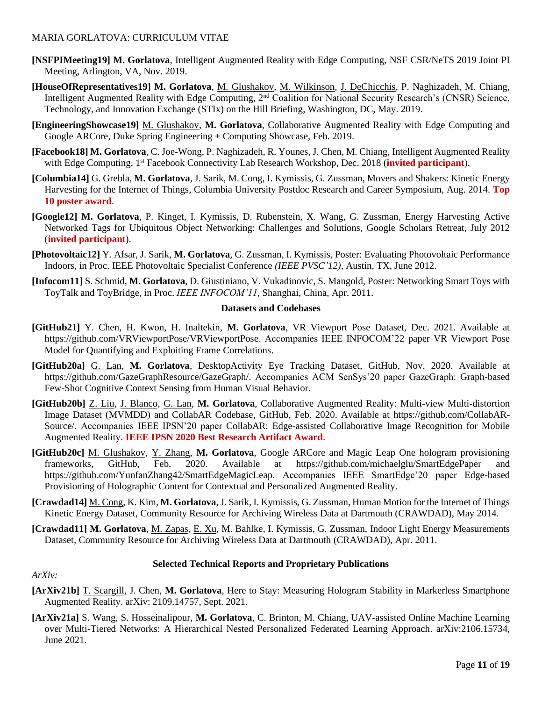- **[NSFPIMeeting19] M. Gorlatova**, Intelligent Augmented Reality with Edge Computing, NSF CSR/NeTS 2019 Joint PI Meeting, Arlington, VA, Nov. 2019.
- **[HouseOfRepresentatives19] M. Gorlatova**, M. Glushakov, M. Wilkinson, J. DeChicchis, P. Naghizadeh, M. Chiang, Intelligent Augmented Reality with Edge Computing, 2nd Coalition for National Security Research's (CNSR) Science, Technology, and Innovation Exchange (STIx) on the Hill Briefing, Washington, DC, May. 2019.
- **[EngineeringShowcase19]** M. Glushakov, **M. Gorlatova**, Collaborative Augmented Reality with Edge Computing and Google ARCore, Duke Spring Engineering + Computing Showcase, Feb. 2019.
- **[Facebook18] M. Gorlatova**, C. Joe-Wong, P. Naghizadeh, R. Younes, J. Chen, M. Chiang, Intelligent Augmented Reality with Edge Computing, 1<sup>st</sup> Facebook Connectivity Lab Research Workshop, Dec. 2018 (*invited participant*).
- **[Columbia14]** G. Grebla, **M. Gorlatova**, J. Sarik, M. Cong, I. Kymissis, G. Zussman, Movers and Shakers: Kinetic Energy Harvesting for the Internet of Things, Columbia University Postdoc Research and Career Symposium, Aug. 2014. **Top 10 poster award**.
- **[Google12] M. Gorlatova**, P. Kinget, I. Kymissis, D. Rubenstein, X. Wang, G. Zussman, Energy Harvesting Active Networked Tags for Ubiquitous Object Networking: Challenges and Solutions, Google Scholars Retreat, July 2012 (**invited participant**).
- **[Photovoltaic12]** Y. Afsar, J. Sarik, **M. Gorlatova**, G. Zussman, I. Kymissis, Poster: Evaluating Photovoltaic Performance Indoors, in Proc. IEEE Photovoltaic Specialist Conference *(IEEE PVSC'12)*, Austin, TX, June 2012.
- **[Infocom11]** S. Schmid, **M. Gorlatova**, D. Giustiniano, V. Vukadinovic, S. Mangold, Poster: Networking Smart Toys with ToyTalk and ToyBridge, in Proc. *IEEE INFOCOM'11*, Shanghai, China, Apr. 2011.

#### **Datasets and Codebases**

- **[GitHub21]** Y. Chen, H. Kwon, H. Inaltekin, **M. Gorlatova**, VR Viewport Pose Dataset, Dec. 2021. Available at https://github.com/VRViewportPose/VRViewportPose. Accompanies IEEE INFOCOM'22 paper VR Viewport Pose Model for Quantifying and Exploiting Frame Correlations.
- **[GitHub20a]** G. Lan, **M. Gorlatova**, DesktopActivity Eye Tracking Dataset, GitHub, Nov. 2020. Available at https://github.com/GazeGraphResource/GazeGraph/. Accompanies ACM SenSys'20 paper GazeGraph: Graph-based Few-Shot Cognitive Context Sensing from Human Visual Behavior.
- **[GitHub20b]** Z. Liu, J. Blanco, G. Lan, **M. Gorlatova**, Collaborative Augmented Reality: Multi-view Multi-distortion Image Dataset (MVMDD) and CollabAR Codebase, GitHub, Feb. 2020. Available at https://github.com/CollabAR-Source/. Accompanies IEEE IPSN'20 paper CollabAR: Edge-assisted Collaborative Image Recognition for Mobile Augmented Reality. **IEEE IPSN 2020 Best Research Artifact Award**.
- **[GitHub20c]** M. Glushakov, Y. Zhang, **M. Gorlatova**, Google ARCore and Magic Leap One hologram provisioning frameworks, GitHub, Feb. 2020. Available at https://github.com/michaelglu/SmartEdgePaper and https://github.com/YunfanZhang42/SmartEdgeMagicLeap. Accompanies IEEE SmartEdge'20 paper Edge-based Provisioning of Holographic Content for Contextual and Personalized Augmented Reality.
- **[Crawdad14]** M. Cong, K. Kim, **M. Gorlatova**, J. Sarik, I. Kymissis, G. Zussman, Human Motion for the Internet of Things Kinetic Energy Dataset, Community Resource for Archiving Wireless Data at Dartmouth (CRAWDAD), May 2014.
- **[Crawdad11] M. Gorlatova**, M. Zapas, E. Xu, M. Bahlke, I. Kymissis, G. Zussman, Indoor Light Energy Measurements Dataset, Community Resource for Archiving Wireless Data at Dartmouth (CRAWDAD), Apr. 2011.

#### **Selected Technical Reports and Proprietary Publications**

#### *ArXiv:*

- **[ArXiv21b]** T. Scargill, J. Chen, **M. Gorlatova**, Here to Stay: Measuring Hologram Stability in Markerless Smartphone Augmented Reality. arXiv: 2109.14757, Sept. 2021.
- **[ArXiv21a]** S. Wang, S. Hosseinalipour, **M. Gorlatova**, C. Brinton, M. Chiang, UAV-assisted Online Machine Learning over Multi-Tiered Networks: A Hierarchical Nested Personalized Federated Learning Approach. arXiv:2106.15734, June 2021.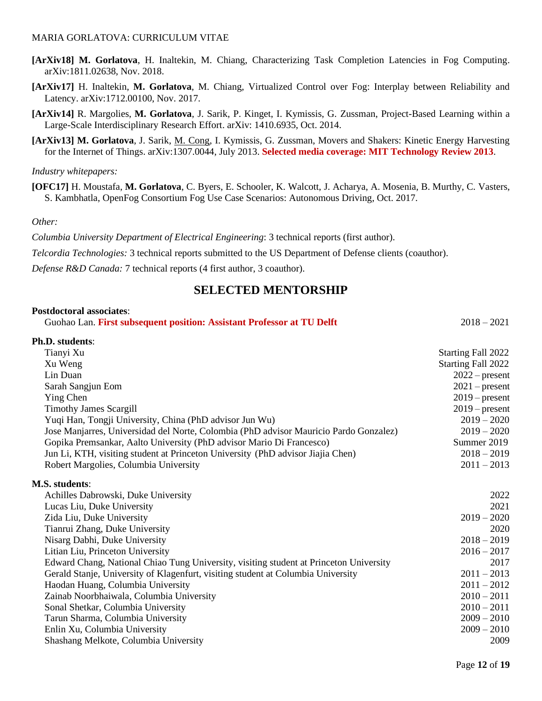- **[ArXiv18] M. Gorlatova**, H. Inaltekin, M. Chiang, Characterizing Task Completion Latencies in Fog Computing. arXiv:1811.02638, Nov. 2018.
- **[ArXiv17]** H. Inaltekin, **M. Gorlatova**, M. Chiang, Virtualized Control over Fog: Interplay between Reliability and Latency. arXiv:1712.00100, Nov. 2017.
- **[ArXiv14]** R. Margolies, **M. Gorlatova**, J. Sarik, P. Kinget, I. Kymissis, G. Zussman, Project-Based Learning within a Large-Scale Interdisciplinary Research Effort. arXiv: 1410.6935, Oct. 2014.
- **[ArXiv13] M. Gorlatova**, J. Sarik, M. Cong, I. Kymissis, G. Zussman, Movers and Shakers: Kinetic Energy Harvesting for the Internet of Things. arXiv:1307.0044, July 2013. **Selected media coverage: MIT Technology Review 2013**.

#### *Industry whitepapers:*

**[OFC17]** H. Moustafa, **M. Gorlatova**, C. Byers, E. Schooler, K. Walcott, J. Acharya, A. Mosenia, B. Murthy, C. Vasters, S. Kambhatla, OpenFog Consortium Fog Use Case Scenarios: Autonomous Driving, Oct. 2017.

#### *Other:*

*Columbia University Department of Electrical Engineering*: 3 technical reports (first author).

*Telcordia Technologies:* 3 technical reports submitted to the US Department of Defense clients (coauthor).

*Defense R&D Canada:* 7 technical reports (4 first author, 3 coauthor).

### **SELECTED MENTORSHIP**

#### **Postdoctoral associates**:

| Guohao Lan. First subsequent position: Assistant Professor at TU Delft | $2018 - 2021$ |
|------------------------------------------------------------------------|---------------|
|------------------------------------------------------------------------|---------------|

| Ph.D. students:                                                                        |                           |
|----------------------------------------------------------------------------------------|---------------------------|
| Tianyi Xu                                                                              | Starting Fall 2022        |
| Xu Weng                                                                                | <b>Starting Fall 2022</b> |
| Lin Duan                                                                               | $2022$ – present          |
| Sarah Sangjun Eom                                                                      | $2021$ – present          |
| Ying Chen                                                                              | $2019$ – present          |
| <b>Timothy James Scargill</b>                                                          | $2019$ – present          |
| Yuqi Han, Tongji University, China (PhD advisor Jun Wu)                                | $2019 - 2020$             |
| Jose Manjarres, Universidad del Norte, Colombia (PhD advisor Mauricio Pardo Gonzalez)  | $2019 - 2020$             |
| Gopika Premsankar, Aalto University (PhD advisor Mario Di Francesco)                   | Summer 2019               |
| Jun Li, KTH, visiting student at Princeton University (PhD advisor Jiajia Chen)        | $2018 - 2019$             |
| Robert Margolies, Columbia University                                                  | $2011 - 2013$             |
| <b>M.S. students:</b>                                                                  |                           |
| Achilles Dabrowski, Duke University                                                    | 2022                      |
| Lucas Liu, Duke University                                                             | 2021                      |
| Zida Liu, Duke University                                                              | $2019 - 2020$             |
| Tianrui Zhang, Duke University                                                         | 2020                      |
| Nisarg Dabhi, Duke University                                                          | $2018 - 2019$             |
| Litian Liu, Princeton University                                                       | $2016 - 2017$             |
| Edward Chang, National Chiao Tung University, visiting student at Princeton University | 2017                      |
| Gerald Stanje, University of Klagenfurt, visiting student at Columbia University       | $2011 - 2013$             |
| Haodan Huang, Columbia University                                                      | $2011 - 2012$             |
| Zainab Noorbhaiwala, Columbia University                                               | $2010 - 2011$             |
| Sonal Shetkar, Columbia University                                                     | $2010 - 2011$             |
| Tarun Sharma, Columbia University                                                      | $2009 - 2010$             |
| Enlin Xu, Columbia University                                                          | $2009 - 2010$             |
| Shashang Melkote, Columbia University                                                  | 2009                      |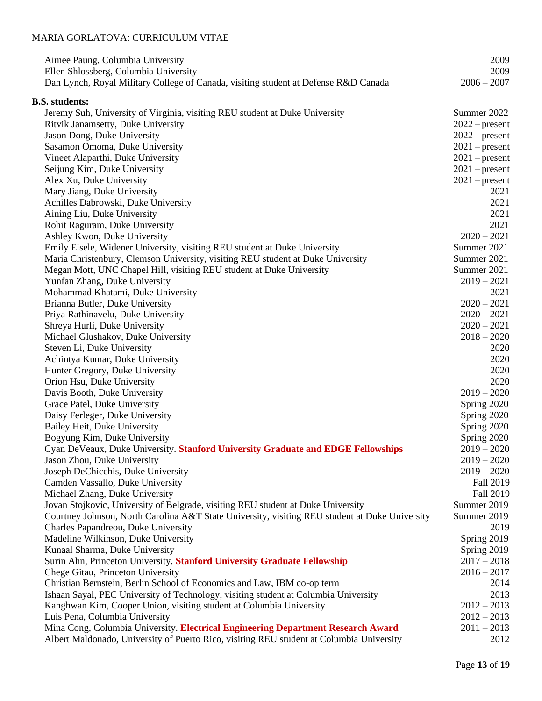| Aimee Paung, Columbia University<br>Ellen Shlossberg, Columbia University<br>Dan Lynch, Royal Military College of Canada, visiting student at Defense R&D Canada | 2009<br>2009<br>$2006 - 2007$ |
|------------------------------------------------------------------------------------------------------------------------------------------------------------------|-------------------------------|
| <b>B.S. students:</b>                                                                                                                                            |                               |
| Jeremy Suh, University of Virginia, visiting REU student at Duke University                                                                                      | Summer 2022                   |
| Ritvik Janamsetty, Duke University                                                                                                                               | $2022$ – present              |
| Jason Dong, Duke University                                                                                                                                      | $2022$ – present              |
| Sasamon Omoma, Duke University                                                                                                                                   | $2021$ – present              |
| Vineet Alaparthi, Duke University                                                                                                                                | $2021$ – present              |
| Seijung Kim, Duke University                                                                                                                                     | $2021$ – present              |
| Alex Xu, Duke University                                                                                                                                         | $2021$ – present              |
|                                                                                                                                                                  | 2021                          |
| Mary Jiang, Duke University                                                                                                                                      | 2021                          |
| Achilles Dabrowski, Duke University                                                                                                                              | 2021                          |
| Aining Liu, Duke University                                                                                                                                      | 2021                          |
| Rohit Raguram, Duke University                                                                                                                                   | $2020 - 2021$                 |
| Ashley Kwon, Duke University                                                                                                                                     |                               |
| Emily Eisele, Widener University, visiting REU student at Duke University                                                                                        | Summer 2021                   |
| Maria Christenbury, Clemson University, visiting REU student at Duke University                                                                                  | Summer 2021                   |
| Megan Mott, UNC Chapel Hill, visiting REU student at Duke University                                                                                             | Summer 2021                   |
| Yunfan Zhang, Duke University                                                                                                                                    | $2019 - 2021$                 |
| Mohammad Khatami, Duke University                                                                                                                                | 2021                          |
| Brianna Butler, Duke University                                                                                                                                  | $2020 - 2021$                 |
| Priya Rathinavelu, Duke University                                                                                                                               | $2020 - 2021$                 |
| Shreya Hurli, Duke University                                                                                                                                    | $2020 - 2021$                 |
| Michael Glushakov, Duke University                                                                                                                               | $2018 - 2020$                 |
| Steven Li, Duke University                                                                                                                                       | 2020                          |
| Achintya Kumar, Duke University                                                                                                                                  | 2020                          |
| Hunter Gregory, Duke University                                                                                                                                  | 2020                          |
| Orion Hsu, Duke University                                                                                                                                       | 2020                          |
| Davis Booth, Duke University                                                                                                                                     | $2019 - 2020$                 |
| Grace Patel, Duke University                                                                                                                                     | Spring 2020                   |
| Daisy Ferleger, Duke University                                                                                                                                  | Spring 2020                   |
| Bailey Heit, Duke University                                                                                                                                     | Spring 2020                   |
| Bogyung Kim, Duke University                                                                                                                                     | Spring 2020                   |
| Cyan DeVeaux, Duke University. Stanford University Graduate and EDGE Fellowships                                                                                 | $2019 - 2020$                 |
| Jason Zhou, Duke University                                                                                                                                      | $2019 - 2020$                 |
| Joseph DeChicchis, Duke University                                                                                                                               | $2019 - 2020$                 |
| Camden Vassallo, Duke University                                                                                                                                 | Fall 2019                     |
| Michael Zhang, Duke University                                                                                                                                   | Fall 2019                     |
| Jovan Stojkovic, University of Belgrade, visiting REU student at Duke University                                                                                 | Summer 2019                   |
| Courtney Johnson, North Carolina A&T State University, visiting REU student at Duke University                                                                   | Summer 2019                   |
| Charles Papandreou, Duke University                                                                                                                              | 2019                          |
| Madeline Wilkinson, Duke University                                                                                                                              | Spring 2019                   |
| Kunaal Sharma, Duke University                                                                                                                                   | Spring 2019                   |
| Surin Ahn, Princeton University. Stanford University Graduate Fellowship                                                                                         | $2017 - 2018$                 |
| Chege Gitau, Princeton University                                                                                                                                | $2016 - 2017$                 |
| Christian Bernstein, Berlin School of Economics and Law, IBM co-op term                                                                                          | 2014                          |
| Ishaan Sayal, PEC University of Technology, visiting student at Columbia University                                                                              | 2013                          |
| Kanghwan Kim, Cooper Union, visiting student at Columbia University                                                                                              | $2012 - 2013$                 |
| Luis Pena, Columbia University                                                                                                                                   | $2012 - 2013$                 |
| Mina Cong, Columbia University. Electrical Engineering Department Research Award                                                                                 | $2011 - 2013$                 |
| Albert Maldonado, University of Puerto Rico, visiting REU student at Columbia University                                                                         | 2012                          |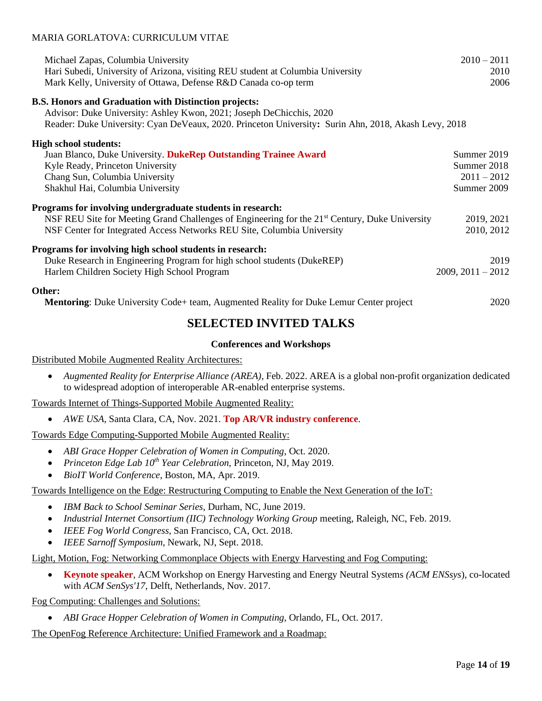| Michael Zapas, Columbia University<br>Hari Subedi, University of Arizona, visiting REU student at Columbia University<br>Mark Kelly, University of Ottawa, Defense R&D Canada co-op term | $2010 - 2011$<br>2010<br>2006 |
|------------------------------------------------------------------------------------------------------------------------------------------------------------------------------------------|-------------------------------|
| <b>B.S. Honors and Graduation with Distinction projects:</b>                                                                                                                             |                               |
| Advisor: Duke University: Ashley Kwon, 2021; Joseph DeChicchis, 2020                                                                                                                     |                               |
| Reader: Duke University: Cyan DeVeaux, 2020. Princeton University: Surin Ahn, 2018, Akash Levy, 2018                                                                                     |                               |
| <b>High school students:</b>                                                                                                                                                             |                               |
| Juan Blanco, Duke University. DukeRep Outstanding Trainee Award                                                                                                                          | Summer 2019                   |
| Kyle Ready, Princeton University                                                                                                                                                         | Summer 2018                   |
| Chang Sun, Columbia University                                                                                                                                                           | $2011 - 2012$                 |
| Shakhul Hai, Columbia University                                                                                                                                                         | Summer 2009                   |
|                                                                                                                                                                                          |                               |
| Programs for involving undergraduate students in research:                                                                                                                               |                               |
| NSF REU Site for Meeting Grand Challenges of Engineering for the 21 <sup>st</sup> Century, Duke University                                                                               | 2019, 2021                    |
| NSF Center for Integrated Access Networks REU Site, Columbia University                                                                                                                  | 2010, 2012                    |
| Programs for involving high school students in research:                                                                                                                                 |                               |
| Duke Research in Engineering Program for high school students (DukeREP)                                                                                                                  | 2019                          |
| Harlem Children Society High School Program                                                                                                                                              | $2009, 2011 - 2012$           |
|                                                                                                                                                                                          |                               |
| Other:                                                                                                                                                                                   |                               |
| <b>Mentoring:</b> Duke University Code+ team, Augmented Reality for Duke Lemur Center project                                                                                            | 2020                          |
|                                                                                                                                                                                          |                               |

# **SELECTED INVITED TALKS**

### **Conferences and Workshops**

Distributed Mobile Augmented Reality Architectures:

• *Augmented Reality for Enterprise Alliance (AREA)*, Feb. 2022. AREA is a global non-profit organization dedicated to widespread adoption of interoperable AR-enabled enterprise systems.

Towards Internet of Things-Supported Mobile Augmented Reality:

• *AWE USA*, Santa Clara, CA, Nov. 2021. **Top AR/VR industry conference**.

Towards Edge Computing-Supported Mobile Augmented Reality:

- *ABI Grace Hopper Celebration of Women in Computing*, Oct. 2020.
- *Princeton Edge Lab 10th Year Celebration,* Princeton, NJ, May 2019.
- *BioIT World Conference*, Boston, MA, Apr. 2019.

Towards Intelligence on the Edge: Restructuring Computing to Enable the Next Generation of the IoT:

- *IBM Back to School Seminar Series*, Durham, NC, June 2019.
- *Industrial Internet Consortium (IIC) Technology Working Group* meeting, Raleigh, NC, Feb. 2019.
- *IEEE Fog World Congress*, San Francisco, CA, Oct. 2018.
- *IEEE Sarnoff Symposium*, Newark, NJ, Sept. 2018.

Light, Motion, Fog: Networking Commonplace Objects with Energy Harvesting and Fog Computing:

• **Keynote speaker**, ACM Workshop on Energy Harvesting and Energy Neutral Systems *(ACM ENSsys*), co-located with *ACM SenSys'17*, Delft, Netherlands, Nov. 2017.

Fog Computing: Challenges and Solutions:

• *ABI Grace Hopper Celebration of Women in Computing*, Orlando, FL, Oct. 2017.

The OpenFog Reference Architecture: Unified Framework and a Roadmap: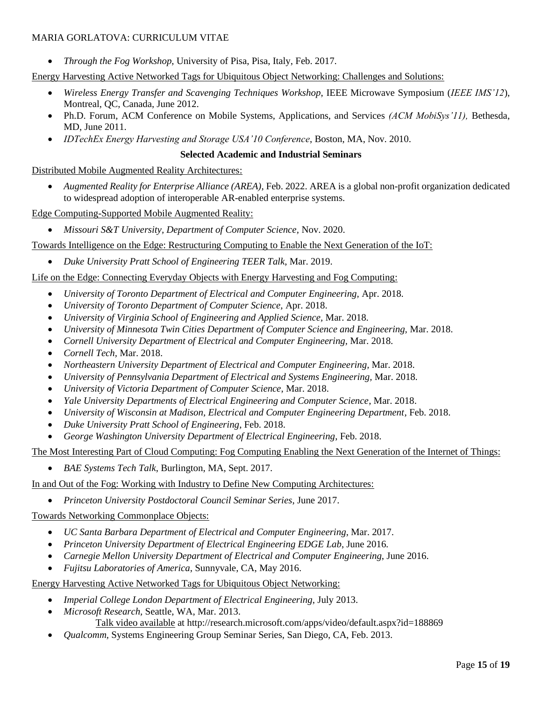• *Through the Fog Workshop*, University of Pisa, Pisa, Italy, Feb. 2017.

Energy Harvesting Active Networked Tags for Ubiquitous Object Networking: Challenges and Solutions:

- *Wireless Energy Transfer and Scavenging Techniques Workshop*, IEEE Microwave Symposium (*IEEE IMS'12*), Montreal, QC, Canada, June 2012.
- Ph.D. Forum, ACM Conference on Mobile Systems, Applications, and Services *(ACM MobiSys'11),* Bethesda, MD, June 2011.
- *IDTechEx Energy Harvesting and Storage USA'10 Conference*, Boston, MA, Nov. 2010.

#### **Selected Academic and Industrial Seminars**

Distributed Mobile Augmented Reality Architectures:

• *Augmented Reality for Enterprise Alliance (AREA)*, Feb. 2022. AREA is a global non-profit organization dedicated to widespread adoption of interoperable AR-enabled enterprise systems.

Edge Computing-Supported Mobile Augmented Reality:

• *Missouri S&T University, Department of Computer Science,* Nov. 2020.

Towards Intelligence on the Edge: Restructuring Computing to Enable the Next Generation of the IoT:

• *Duke University Pratt School of Engineering TEER Talk*, Mar. 2019.

Life on the Edge: Connecting Everyday Objects with Energy Harvesting and Fog Computing:

- *University of Toronto Department of Electrical and Computer Engineering,* Apr. 2018.
- *University of Toronto Department of Computer Science,* Apr. 2018.
- *University of Virginia School of Engineering and Applied Science,* Mar. 2018.
- *University of Minnesota Twin Cities Department of Computer Science and Engineering,* Mar. 2018.
- *Cornell University Department of Electrical and Computer Engineering,* Mar. 2018.
- *Cornell Tech,* Mar. 2018.
- *Northeastern University Department of Electrical and Computer Engineering,* Mar. 2018.
- *University of Pennsylvania Department of Electrical and Systems Engineering,* Mar. 2018.
- *University of Victoria Department of Computer Science*, Mar. 2018.
- *Yale University Departments of Electrical Engineering and Computer Science*, Mar. 2018.
- *University of Wisconsin at Madison, Electrical and Computer Engineering Department*, Feb. 2018.
- *Duke University Pratt School of Engineering*, Feb. 2018.
- *George Washington University Department of Electrical Engineering*, Feb. 2018.

The Most Interesting Part of Cloud Computing: Fog Computing Enabling the Next Generation of the Internet of Things:

• *BAE Systems Tech Talk*, Burlington, MA, Sept. 2017.

In and Out of the Fog: Working with Industry to Define New Computing Architectures:

• *Princeton University Postdoctoral Council Seminar Series*, June 2017.

Towards Networking Commonplace Objects:

- *UC Santa Barbara Department of Electrical and Computer Engineering*, Mar. 2017.
- *Princeton University Department of Electrical Engineering EDGE Lab*, June 2016.
- *Carnegie Mellon University Department of Electrical and Computer Engineering*, June 2016.
- *Fujitsu Laboratories of America*, Sunnyvale, CA, May 2016.

Energy Harvesting Active Networked Tags for Ubiquitous Object Networking:

- *Imperial College London Department of Electrical Engineering*, July 2013.
- *Microsoft Research,* Seattle, WA, Mar. 2013. Talk video available at http://research.microsoft.com/apps/video/default.aspx?id=188869
- *Qualcomm,* Systems Engineering Group Seminar Series, San Diego, CA, Feb. 2013.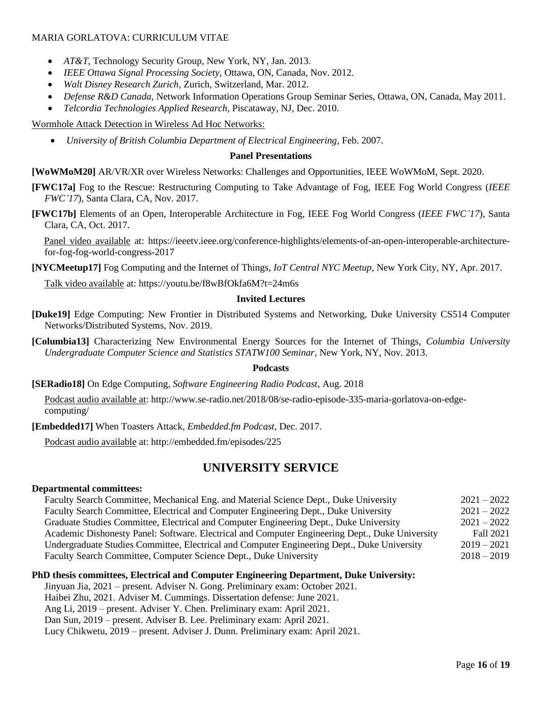- *AT&T*, Technology Security Group, New York, NY, Jan. 2013.
- *IEEE Ottawa Signal Processing Society*, Ottawa, ON, Canada, Nov. 2012.
- *Walt Disney Research Zurich*, Zurich, Switzerland, Mar. 2012.
- *Defense R&D Canada,* Network Information Operations Group Seminar Series, Ottawa, ON, Canada, May 2011.
- *Telcordia Technologies Applied Research*, Piscataway, NJ, Dec. 2010.

Wormhole Attack Detection in Wireless Ad Hoc Networks:

• *University of British Columbia Department of Electrical Engineering*, Feb. 2007.

#### **Panel Presentations**

**[WoWMoM20]** AR/VR/XR over Wireless Networks: Challenges and Opportunities, IEEE WoWMoM, Sept. 2020.

**[FWC17a]** Fog to the Rescue: Restructuring Computing to Take Advantage of Fog, IEEE Fog World Congress (*IEEE FWC'17*), Santa Clara, CA, Nov. 2017.

**[FWC17b]** Elements of an Open, Interoperable Architecture in Fog, IEEE Fog World Congress (*IEEE FWC'17*), Santa Clara, CA, Oct. 2017.

 Panel video available at: https://ieeetv.ieee.org/conference-highlights/elements-of-an-open-interoperable-architecturefor-fog-fog-world-congress-2017

**[NYCMeetup17]** Fog Computing and the Internet of Things, *IoT Central NYC Meetup,* New York City, NY, Apr. 2017.

Talk video available at: https://youtu.be/f8wBfOkfa6M?t=24m6s

#### **Invited Lectures**

**[Duke19]** Edge Computing: New Frontier in Distributed Systems and Networking, Duke University CS514 Computer Networks/Distributed Systems, Nov. 2019.

**[Columbia13]** Characterizing New Environmental Energy Sources for the Internet of Things, *Columbia University Undergraduate Computer Science and Statistics STATW100 Seminar*, New York, NY, Nov. 2013.

#### **Podcasts**

**[SERadio18]** On Edge Computing, *Software Engineering Radio Podcast*, Aug. 2018

Podcast audio available at: http://www.se-radio.net/2018/08/se-radio-episode-335-maria-gorlatova-on-edgecomputing/

**[Embedded17]** When Toasters Attack, *Embedded.fm Podcast*, Dec. 2017.

Podcast audio available at: http://embedded.fm/episodes/225

# **UNIVERSITY SERVICE**

#### **Departmental committees:**

Faculty Search Committee, Mechanical Eng. and Material Science Dept., Duke University 2021 – 2022 Faculty Search Committee, Electrical and Computer Engineering Dept., Duke University 2021 – 2022 Graduate Studies Committee, Electrical and Computer Engineering Dept., Duke University 2021 – 2022 Academic Dishonesty Panel: Software. Electrical and Computer Engineering Dept., Duke University Fall 2021 Undergraduate Studies Committee, Electrical and Computer Engineering Dept., Duke University 2019 – 2021 Faculty Search Committee, Computer Science Dept., Duke University 2018 – 2019

#### **PhD thesis committees, Electrical and Computer Engineering Department, Duke University:**

Jinyuan Jia, 2021 – present. Adviser N. Gong. Preliminary exam: October 2021.

Haibei Zhu, 2021. Adviser M. Cummings. Dissertation defense: June 2021.

Ang Li, 2019 – present. Adviser Y. Chen. Preliminary exam: April 2021.

Dan Sun, 2019 – present. Adviser B. Lee. Preliminary exam: April 2021.

Lucy Chikwetu, 2019 – present. Adviser J. Dunn. Preliminary exam: April 2021.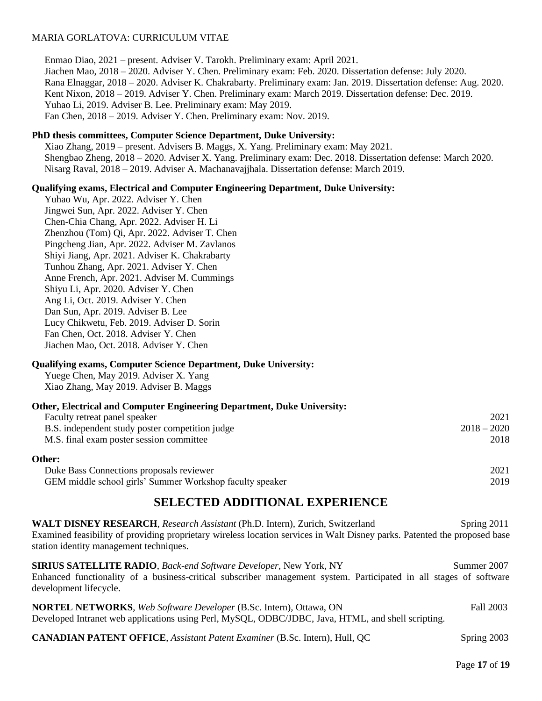Enmao Diao, 2021 – present. Adviser V. Tarokh. Preliminary exam: April 2021. Jiachen Mao, 2018 – 2020. Adviser Y. Chen. Preliminary exam: Feb. 2020. Dissertation defense: July 2020. Rana Elnaggar, 2018 – 2020. Adviser K. Chakrabarty. Preliminary exam: Jan. 2019. Dissertation defense: Aug. 2020. Kent Nixon, 2018 – 2019. Adviser Y. Chen. Preliminary exam: March 2019. Dissertation defense: Dec. 2019. Yuhao Li, 2019. Adviser B. Lee. Preliminary exam: May 2019. Fan Chen, 2018 – 2019. Adviser Y. Chen. Preliminary exam: Nov. 2019.

#### **PhD thesis committees, Computer Science Department, Duke University:**

Xiao Zhang, 2019 – present. Advisers B. Maggs, X. Yang. Preliminary exam: May 2021. Shengbao Zheng, 2018 – 2020. Adviser X. Yang. Preliminary exam: Dec. 2018. Dissertation defense: March 2020. Nisarg Raval, 2018 – 2019. Adviser A. Machanavajjhala. Dissertation defense: March 2019.

#### **Qualifying exams, Electrical and Computer Engineering Department, Duke University:**

Yuhao Wu, Apr. 2022. Adviser Y. Chen Jingwei Sun, Apr. 2022. Adviser Y. Chen Chen-Chia Chang, Apr. 2022. Adviser H. Li Zhenzhou (Tom) Qi, Apr. 2022. Adviser T. Chen Pingcheng Jian, Apr. 2022. Adviser M. Zavlanos Shiyi Jiang, Apr. 2021. Adviser K. Chakrabarty Tunhou Zhang, Apr. 2021. Adviser Y. Chen Anne French, Apr. 2021. Adviser M. Cummings Shiyu Li, Apr. 2020. Adviser Y. Chen Ang Li, Oct. 2019. Adviser Y. Chen Dan Sun, Apr. 2019. Adviser B. Lee Lucy Chikwetu, Feb. 2019. Adviser D. Sorin Fan Chen, Oct. 2018. Adviser Y. Chen Jiachen Mao, Oct. 2018. Adviser Y. Chen

#### **Qualifying exams, Computer Science Department, Duke University:**

Yuege Chen, May 2019. Adviser X. Yang Xiao Zhang, May 2019. Adviser B. Maggs

| Other, Electrical and Computer Engineering Department, Duke University: |               |
|-------------------------------------------------------------------------|---------------|
| Faculty retreat panel speaker                                           | 2021          |
| B.S. independent study poster competition judge                         | $2018 - 2020$ |
| M.S. final exam poster session committee                                | 2018          |
| Other:                                                                  |               |

Duke Bass Connections proposals reviewer 2021 GEM middle school girls' Summer Workshop faculty speaker 2019

# **SELECTED ADDITIONAL EXPERIENCE**

**WALT DISNEY RESEARCH**, *Research Assistant* (Ph.D. Intern), Zurich, Switzerland Spring 2011 Examined feasibility of providing proprietary wireless location services in Walt Disney parks. Patented the proposed base station identity management techniques.

**SIRIUS SATELLITE RADIO**, *Back-end Software Developer*, New York, NY Summer 2007 Enhanced functionality of a business-critical subscriber management system. Participated in all stages of software development lifecycle.

**NORTEL NETWORKS**, *Web Software Developer* (B.Sc. Intern)*,* Ottawa, ON Fall 2003 Developed Intranet web applications using Perl, MySQL, ODBC/JDBC, Java, HTML, and shell scripting.

**CANADIAN PATENT OFFICE**, *Assistant Patent Examiner* (B.Sc. Intern), Hull, QC Spring 2003

Page **17** of **19**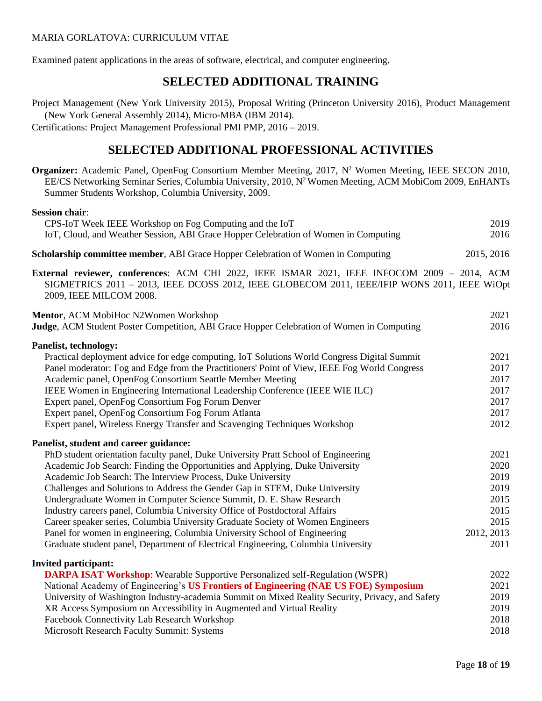Examined patent applications in the areas of software, electrical, and computer engineering.

# **SELECTED ADDITIONAL TRAINING**

Project Management (New York University 2015), Proposal Writing (Princeton University 2016), Product Management (New York General Assembly 2014), Micro-MBA (IBM 2014).

Certifications: Project Management Professional PMI PMP, 2016 – 2019.

# **SELECTED ADDITIONAL PROFESSIONAL ACTIVITIES**

**Organizer:** Academic Panel, OpenFog Consortium Member Meeting, 2017, N<sup>2</sup> Women Meeting, IEEE SECON 2010, EE/CS Networking Seminar Series, Columbia University, 2010, N<sup>2</sup> Women Meeting, ACM MobiCom 2009, EnHANTs Summer Students Workshop, Columbia University, 2009.

# **Session chair**:

| CPS-IoT Week IEEE Workshop on Fog Computing and the IoT                                 | 2019       |
|-----------------------------------------------------------------------------------------|------------|
| IoT, Cloud, and Weather Session, ABI Grace Hopper Celebration of Women in Computing     | 2016       |
| <b>Scholarship committee member, ABI Grace Hopper Celebration of Women in Computing</b> | 2015, 2016 |

**External reviewer, conferences**: ACM CHI 2022, IEEE ISMAR 2021, IEEE INFOCOM 2009 – 2014, ACM SIGMETRICS 2011 – 2013, IEEE DCOSS 2012, IEEE GLOBECOM 2011, IEEE/IFIP WONS 2011, IEEE WiOpt 2009, IEEE MILCOM 2008.

| Mentor, ACM MobiHoc N2Women Workshop<br>Judge, ACM Student Poster Competition, ABI Grace Hopper Celebration of Women in Computing | 2021<br>2016 |
|-----------------------------------------------------------------------------------------------------------------------------------|--------------|
|                                                                                                                                   |              |
| <b>Panelist, technology:</b>                                                                                                      |              |
| Practical deployment advice for edge computing, IoT Solutions World Congress Digital Summit                                       | 2021         |
| Panel moderator: Fog and Edge from the Practitioners' Point of View, IEEE Fog World Congress                                      | 2017         |
| Academic panel, OpenFog Consortium Seattle Member Meeting                                                                         | 2017         |
| IEEE Women in Engineering International Leadership Conference (IEEE WIE ILC)                                                      | 2017         |
| Expert panel, OpenFog Consortium Fog Forum Denver                                                                                 | 2017         |
| Expert panel, OpenFog Consortium Fog Forum Atlanta                                                                                | 2017         |
| Expert panel, Wireless Energy Transfer and Scavenging Techniques Workshop                                                         | 2012         |
| Panelist, student and career guidance:                                                                                            |              |
| PhD student orientation faculty panel, Duke University Pratt School of Engineering                                                | 2021         |
| Academic Job Search: Finding the Opportunities and Applying, Duke University                                                      | 2020         |
| Academic Job Search: The Interview Process, Duke University                                                                       | 2019         |
| Challenges and Solutions to Address the Gender Gap in STEM, Duke University                                                       | 2019         |
| Undergraduate Women in Computer Science Summit, D. E. Shaw Research                                                               | 2015         |
| Industry careers panel, Columbia University Office of Postdoctoral Affairs                                                        | 2015         |
| Career speaker series, Columbia University Graduate Society of Women Engineers                                                    | 2015         |
| Panel for women in engineering, Columbia University School of Engineering                                                         | 2012, 2013   |
| Graduate student panel, Department of Electrical Engineering, Columbia University                                                 | 2011         |
| <b>Invited participant:</b>                                                                                                       |              |
| <b>DARPA ISAT Workshop:</b> Wearable Supportive Personalized self-Regulation (WSPR)                                               | 2022         |
| National Academy of Engineering's US Frontiers of Engineering (NAE US FOE) Symposium                                              | 2021         |
| University of Washington Industry-academia Summit on Mixed Reality Security, Privacy, and Safety                                  | 2019         |
| XR Access Symposium on Accessibility in Augmented and Virtual Reality                                                             | 2019         |
| Facebook Connectivity Lab Research Workshop                                                                                       | 2018         |
| Miguegali Desegual: Feaulty Committe Crystems                                                                                     | 2010         |

Microsoft Research Faculty Summit: Systems 2018